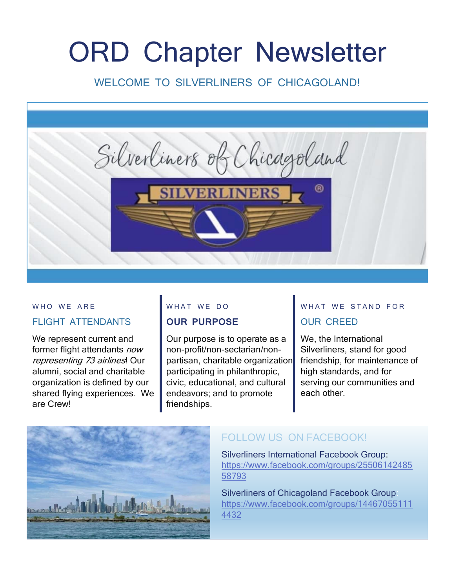# ORD Chapter Newsletter

## WELCOME TO SILVERLINERS OF CHICAGOLAND!



#### WHO WE ARE

#### FLIGHT ATTENDANTS

We represent current and former flight attendants now representing 73 airlines! Our alumni, social and charitable organization is defined by our shared flying experiences. We are Crew!

#### WHAT WE DO

#### **OUR PURPOSE**

Our purpose is to operate as a non-profit/non-sectarian/nonpartisan, charitable organization participating in philanthropic, civic, educational, and cultural endeavors; and to promote friendships.

## WHAT WE STAND FOR OUR CREED

We, the International Silverliners, stand for good friendship, for maintenance of high standards, and for serving our communities and each other.



# FOLLOW US ON FACEBOOK!

Silverliners International Facebook Group: [https://www.facebook.com/groups/25506142485](https://www.facebook.com/groups/2550614248558793) [58793](https://www.facebook.com/groups/2550614248558793)

Silverliners of Chicagoland Facebook Group: [https://www.facebook.com/groups/14467055111](https://www.facebook.com/groups/144670551114432) [4432](https://www.facebook.com/groups/144670551114432)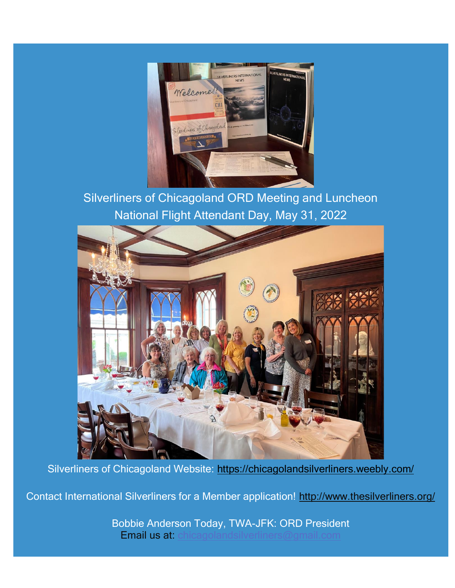

Silverliners of Chicagoland ORD Meeting and Luncheon National Flight Attendant Day, May 31, 2022



Silverliners of Chicagoland Website:<https://chicagolandsilverliners.weebly.com/>

Contact International Silverliners for a Member application! <http://www.thesilverliners.org/>

Bobbie Anderson Today, TWA-JFK: ORD President Email us at: chicagoland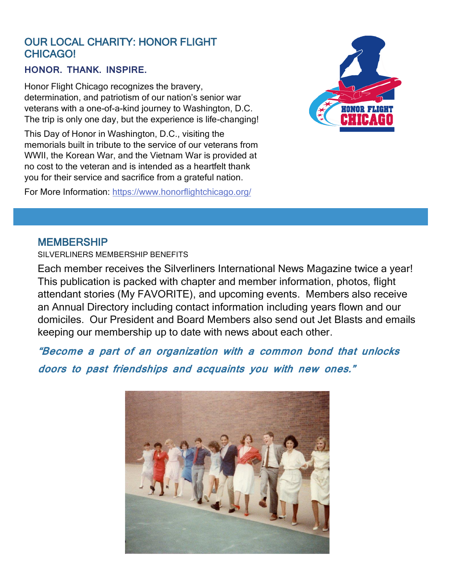## OUR LOCAL CHARITY: HONOR FLIGHT CHICAGO!

#### **HONOR. THANK. INSPIRE.**

Honor Flight Chicago recognizes the bravery, determination, and patriotism of our nation's senior war veterans with a one-of-a-kind journey to Washington, D.C. The trip is only one day, but the experience is life-changing!

This Day of Honor in Washington, D.C., visiting the memorials built in tribute to the service of our veterans from WWII, the Korean War, and the Vietnam War is provided at no cost to the veteran and is intended as a heartfelt thank you for their service and sacrifice from a grateful nation.

For More Information: <https://www.honorflightchicago.org/>



### MEMBERSHIP

SILVERLINERS MEMBERSHIP BENEFITS

Each member receives the Silverliners International News Magazine twice a year! This publication is packed with chapter and member information, photos, flight attendant stories (My FAVORITE), and upcoming events. Members also receive an Annual Directory including contact information including years flown and our domiciles. Our President and Board Members also send out Jet Blasts and emails keeping our membership up to date with news about each other.

**"Become a part of an organization with a common bond that unlocks** 

**doors to past friendships and acquaints you with new ones."**